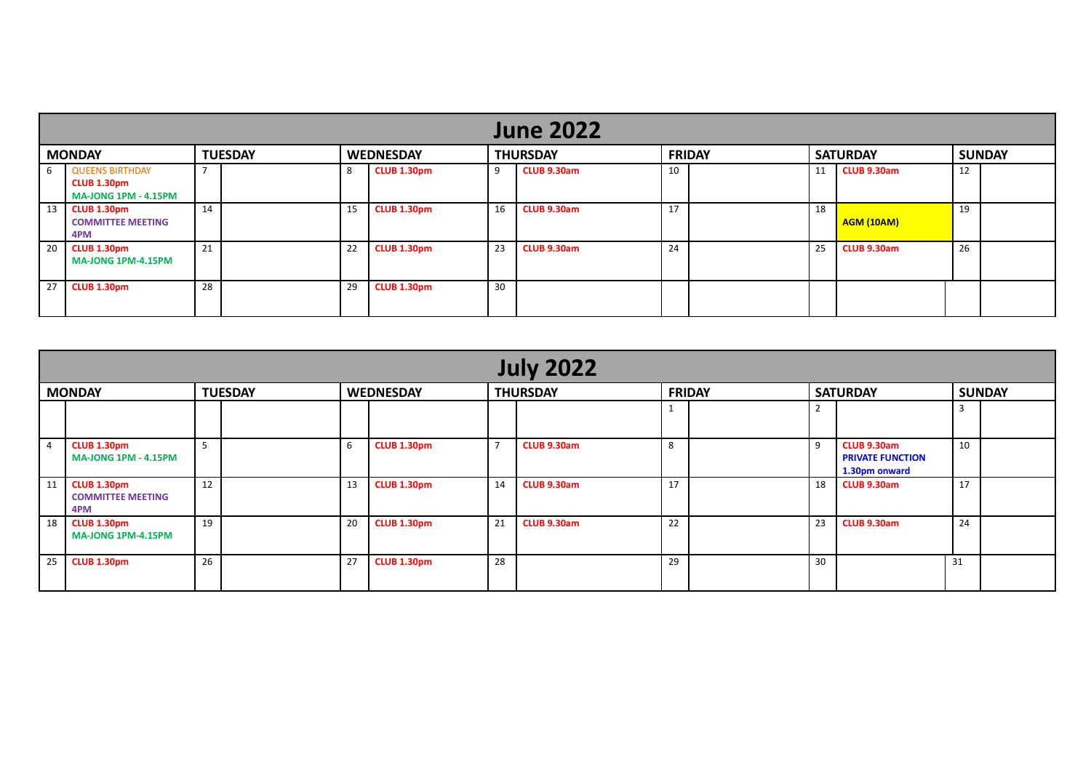|                 | <b>June 2022</b>                                                |                          |  |    |                    |    |                 |    |               |                 |                    |    |               |  |  |
|-----------------|-----------------------------------------------------------------|--------------------------|--|----|--------------------|----|-----------------|----|---------------|-----------------|--------------------|----|---------------|--|--|
| <b>MONDAY</b>   |                                                                 | <b>TUESDAY</b>           |  |    | <b>WEDNESDAY</b>   |    | <b>THURSDAY</b> |    | <b>FRIDAY</b> | <b>SATURDAY</b> |                    |    | <b>SUNDAY</b> |  |  |
|                 | 6 QUEENS BIRTHDAY<br>CLUB 1.30pm<br><b>MA-JONG 1PM - 4.15PM</b> | $\overline{\phantom{a}}$ |  | 8  | CLUB 1.30pm        | -9 | CLUB 9.30am     | 10 |               | 11              | <b>CLUB 9.30am</b> | 12 |               |  |  |
| $13 \mid$       | <b>CLUB 1.30pm</b><br><b>COMMITTEE MEETING</b><br>4PM           | 14                       |  | 15 | <b>CLUB 1.30pm</b> | 16 | CLUB 9.30am     | 17 |               | 18              | <b>AGM (10AM)</b>  | 19 |               |  |  |
| 20 <sub>1</sub> | <b>CLUB 1.30pm</b><br><b>MA-JONG 1PM-4.15PM</b>                 | 21                       |  | 22 | CLUB 1.30pm        | 23 | CLUB 9.30am     | 24 |               | 25              | CLUB 9.30am        | 26 |               |  |  |
| 27 <sup>1</sup> | <b>CLUB 1.30pm</b>                                              | 28                       |  | 29 | CLUB 1.30pm        | 30 |                 |    |               |                 |                    |    |               |  |  |

|                | <b>July 2022</b>                               |                |  |                  |                    |                 |                    |               |  |                 |                                                         |    |               |  |  |
|----------------|------------------------------------------------|----------------|--|------------------|--------------------|-----------------|--------------------|---------------|--|-----------------|---------------------------------------------------------|----|---------------|--|--|
| <b>MONDAY</b>  |                                                | <b>TUESDAY</b> |  | <b>WEDNESDAY</b> |                    | <b>THURSDAY</b> |                    | <b>FRIDAY</b> |  | <b>SATURDAY</b> |                                                         |    | <b>SUNDAY</b> |  |  |
|                |                                                |                |  |                  |                    |                 |                    |               |  |                 |                                                         | 3  |               |  |  |
| $\overline{4}$ | CLUB 1.30pm<br><b>MA-JONG 1PM - 4.15PM</b>     | 5              |  | 6                | <b>CLUB 1.30pm</b> | $\overline{7}$  | CLUB 9.30am        | 8             |  | 9               | CLUB 9.30am<br><b>PRIVATE FUNCTION</b><br>1.30pm onward | 10 |               |  |  |
| 11             | CLUB 1.30pm<br><b>COMMITTEE MEETING</b><br>4PM | 12             |  | 13               | <b>CLUB 1.30pm</b> | 14              | <b>CLUB 9.30am</b> | 17            |  | 18              | <b>CLUB 9.30am</b>                                      | 17 |               |  |  |
| 18             | CLUB 1.30pm<br><b>MA-JONG 1PM-4.15PM</b>       | 19             |  | 20               | <b>CLUB 1.30pm</b> | 21              | CLUB 9.30am        | 22            |  | 23              | CLUB 9.30am                                             | 24 |               |  |  |
| 25             | <b>CLUB 1.30pm</b>                             | 26             |  | 27               | <b>CLUB 1.30pm</b> | 28              |                    | 29            |  | 30              |                                                         | 31 |               |  |  |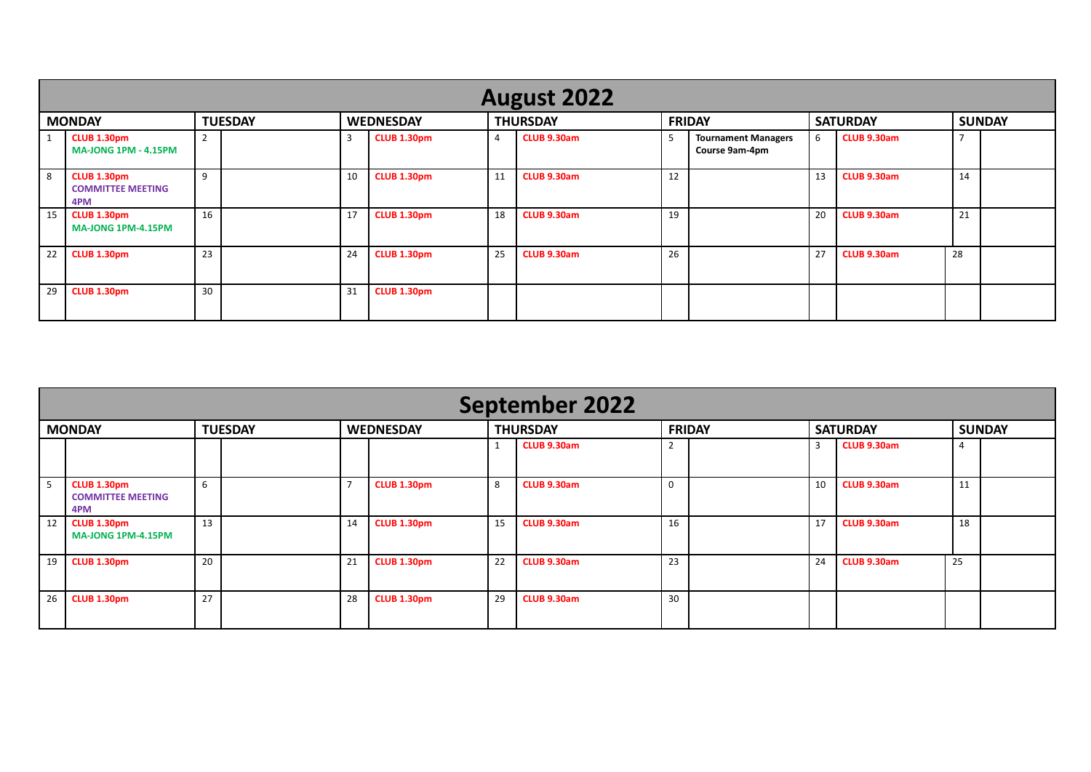|               | <b>August 2022</b>                                    |                |  |                  |                    |                 |                    |               |                                              |                 |             |               |  |  |  |
|---------------|-------------------------------------------------------|----------------|--|------------------|--------------------|-----------------|--------------------|---------------|----------------------------------------------|-----------------|-------------|---------------|--|--|--|
| <b>MONDAY</b> |                                                       | <b>TUESDAY</b> |  | <b>WEDNESDAY</b> |                    | <b>THURSDAY</b> |                    | <b>FRIDAY</b> |                                              | <b>SATURDAY</b> |             | <b>SUNDAY</b> |  |  |  |
|               | CLUB 1.30pm<br><b>MA-JONG 1PM - 4.15PM</b>            | h<br>∠         |  | 3                | CLUB 1.30pm        | 4               | <b>CLUB 9.30am</b> |               | <b>Tournament Managers</b><br>Course 9am-4pm | 6               | CLUB 9.30am |               |  |  |  |
| 8             | <b>CLUB 1.30pm</b><br><b>COMMITTEE MEETING</b><br>4PM | 9              |  | 10               | CLUB 1.30pm        | 11              | CLUB 9.30am        | 12            |                                              | 13              | CLUB 9.30am | 14            |  |  |  |
| 15            | CLUB 1.30pm<br><b>MA-JONG 1PM-4.15PM</b>              | 16             |  | 17               | CLUB 1.30pm        | 18              | <b>CLUB 9.30am</b> | 19            |                                              | 20              | CLUB 9.30am | 21            |  |  |  |
| 22            | <b>CLUB 1.30pm</b>                                    | 23             |  | 24               | <b>CLUB 1.30pm</b> | 25              | CLUB 9.30am        | 26            |                                              | 27              | CLUB 9.30am | 28            |  |  |  |
| 29            | <b>CLUB 1.30pm</b>                                    | 30             |  | 31               | <b>CLUB 1.30pm</b> |                 |                    |               |                                              |                 |             |               |  |  |  |

|                 | <b>September 2022</b>                                 |                |  |                  |                    |    |                 |               |  |                 |             |    |               |  |  |
|-----------------|-------------------------------------------------------|----------------|--|------------------|--------------------|----|-----------------|---------------|--|-----------------|-------------|----|---------------|--|--|
| <b>MONDAY</b>   |                                                       | <b>TUESDAY</b> |  | <b>WEDNESDAY</b> |                    |    | <b>THURSDAY</b> | <b>FRIDAY</b> |  | <b>SATURDAY</b> |             |    | <b>SUNDAY</b> |  |  |
|                 |                                                       |                |  |                  |                    |    | CLUB 9.30am     |               |  | 3               | CLUB 9.30am | 4  |               |  |  |
|                 | <b>CLUB 1.30pm</b><br><b>COMMITTEE MEETING</b><br>4PM | 6              |  | 7                | <b>CLUB 1.30pm</b> | 8  | CLUB 9.30am     |               |  | 10              | CLUB 9.30am | 11 |               |  |  |
| 12 <sup>1</sup> | <b>CLUB 1.30pm</b><br><b>MA-JONG 1PM-4.15PM</b>       | 13             |  | 14               | CLUB 1.30pm        | 15 | CLUB 9.30am     | 16            |  | 17              | CLUB 9.30am | 18 |               |  |  |
| 19              | <b>CLUB 1.30pm</b>                                    | 20             |  | 21               | <b>CLUB 1.30pm</b> | 22 | CLUB 9.30am     | 23            |  | 24              | CLUB 9.30am | 25 |               |  |  |
| 26              | <b>CLUB 1.30pm</b>                                    | 27             |  | 28               | <b>CLUB 1.30pm</b> | 29 | CLUB 9.30am     | 30            |  |                 |             |    |               |  |  |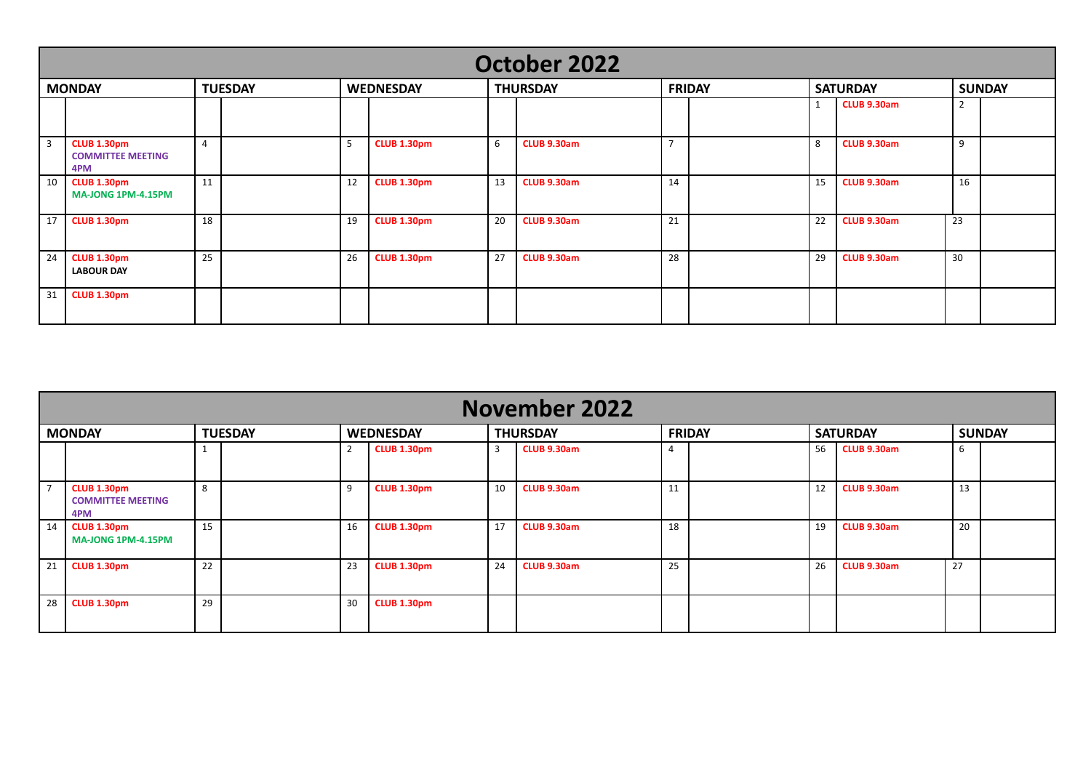|    | October 2022                                          |                |  |           |                    |    |                 |               |  |                 |             |                |  |  |  |
|----|-------------------------------------------------------|----------------|--|-----------|--------------------|----|-----------------|---------------|--|-----------------|-------------|----------------|--|--|--|
|    | <b>MONDAY</b>                                         | <b>TUESDAY</b> |  | WEDNESDAY |                    |    | <b>THURSDAY</b> | <b>FRIDAY</b> |  | <b>SATURDAY</b> |             | <b>SUNDAY</b>  |  |  |  |
|    |                                                       |                |  |           |                    |    |                 |               |  | 1               | CLUB 9.30am | $\overline{2}$ |  |  |  |
| 3  | <b>CLUB 1.30pm</b><br><b>COMMITTEE MEETING</b><br>4PM | $\overline{4}$ |  | 5         | <b>CLUB 1.30pm</b> | 6  | CLUB 9.30am     | -             |  | 8               | CLUB 9.30am | 9              |  |  |  |
| 10 | <b>CLUB 1.30pm</b><br><b>MA-JONG 1PM-4.15PM</b>       | 11             |  | 12        | <b>CLUB 1.30pm</b> | 13 | CLUB 9.30am     | 14            |  | 15              | CLUB 9.30am | 16             |  |  |  |
| 17 | <b>CLUB 1.30pm</b>                                    | 18             |  | 19        | <b>CLUB 1.30pm</b> | 20 | CLUB 9.30am     | 21            |  | 22              | CLUB 9.30am | 23             |  |  |  |
| 24 | <b>CLUB 1.30pm</b><br><b>LABOUR DAY</b>               | 25             |  | 26        | <b>CLUB 1.30pm</b> | 27 | CLUB 9.30am     | 28            |  | 29              | CLUB 9.30am | 30             |  |  |  |
| 31 | <b>CLUB 1.30pm</b>                                    |                |  |           |                    |    |                 |               |  |                 |             |                |  |  |  |

|                | <b>November 2022</b>                           |                |  |                  |                    |    |                 |               |  |    |                 |               |  |  |  |
|----------------|------------------------------------------------|----------------|--|------------------|--------------------|----|-----------------|---------------|--|----|-----------------|---------------|--|--|--|
| <b>MONDAY</b>  |                                                | <b>TUESDAY</b> |  | <b>WEDNESDAY</b> |                    |    | <b>THURSDAY</b> | <b>FRIDAY</b> |  |    | <b>SATURDAY</b> | <b>SUNDAY</b> |  |  |  |
|                |                                                |                |  | $\overline{2}$   | <b>CLUB 1.30pm</b> | 3  | CLUB 9.30am     |               |  | 56 | CLUB 9.30am     | 6             |  |  |  |
| $\overline{7}$ | CLUB 1.30pm<br><b>COMMITTEE MEETING</b><br>4PM | 8              |  | -9               | <b>CLUB 1.30pm</b> | 10 | CLUB 9.30am     | 11            |  | 12 | CLUB 9.30am     | 13            |  |  |  |
| 14             | CLUB 1.30pm<br><b>MA-JONG 1PM-4.15PM</b>       | 15             |  | 16               | <b>CLUB 1.30pm</b> | 17 | CLUB 9.30am     | 18            |  | 19 | CLUB 9.30am     | 20            |  |  |  |
| 21             | <b>CLUB 1.30pm</b>                             | 22             |  | 23               | <b>CLUB 1.30pm</b> | 24 | CLUB 9.30am     | 25            |  | 26 | CLUB 9.30am     | 27            |  |  |  |
| 28             | <b>CLUB 1.30pm</b>                             | 29             |  | 30               | <b>CLUB 1.30pm</b> |    |                 |               |  |    |                 |               |  |  |  |